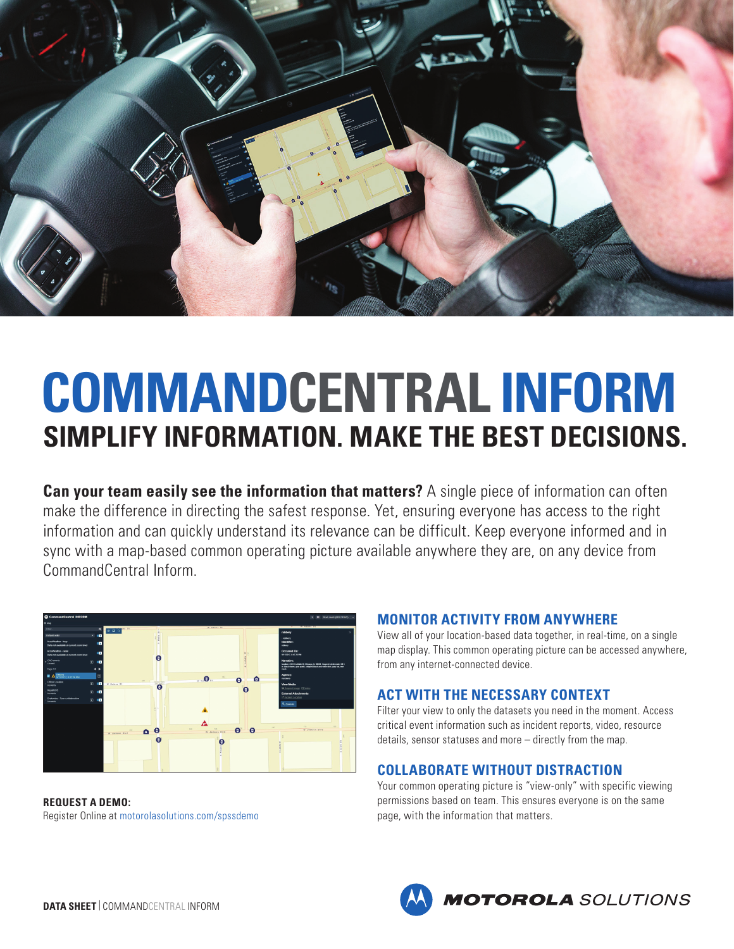

# **COMMANDCENTRAL INFORM SIMPLIFY INFORMATION. MAKE THE BEST DECISIONS.**

**Can your team easily see the information that matters?** A single piece of information can often make the difference in directing the safest response. Yet, ensuring everyone has access to the right information and can quickly understand its relevance can be difficult. Keep everyone informed and in sync with a map-based common operating picture available anywhere they are, on any device from CommandCentral Inform.



**REQUEST A DEMO:** [Register Online](http://motorolasolutions.com/spssdemo) at [motorolasolutions.com/spssdemo](http://motorolasolutions.com/spssdemo)

#### **MONITOR ACTIVITY FROM ANYWHERE**

View all of your location-based data together, in real-time, on a single map display. This common operating picture can be accessed anywhere, from any internet-connected device.

## **ACT WITH THE NECESSARY CONTEXT**

Filter your view to only the datasets you need in the moment. Access critical event information such as incident reports, video, resource details, sensor statuses and more – directly from the map.

#### **COLLABORATE WITHOUT DISTRACTION**

Your common operating picture is "view-only" with specific viewing permissions based on team. This ensures everyone is on the same page, with the information that matters.